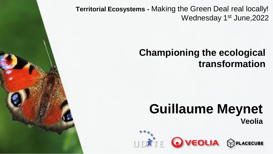**Territorial Ecosystems -** Making the Green Deal real locally! Wednesday 1<sup>st</sup> June, 2022

#### **Championing the ecological transformation**

# **Guillaume Meynet Veolia**

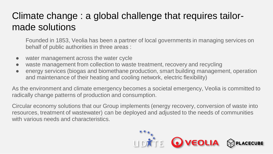### Climate change : a global challenge that requires tailormade solutions

Founded in 1853, Veolia has been a partner of local governments in managing services on behalf of public authorities in three areas :

- water management across the water cycle
- waste management from collection to waste treatment, recovery and recycling
- energy services (biogas and biomethane production, smart building management, operation and maintenance of their heating and cooling network, electric flexibility)

As the environment and climate emergency becomes a societal emergency, Veolia is committed to radically change patterns of production and consumption.

Circular economy solutions that our Group implements (energy recovery, conversion of waste into resources, treatment of wastewater) can be deployed and adjusted to the needs of communities with various needs and characteristics.

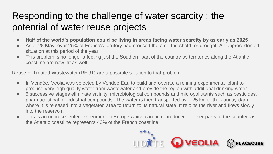## Responding to the challenge of water scarcity : the potential of water reuse projects

- **Half of the world's population could be living in areas facing water scarcity by as early as 2025**
- As of 28 May, over 25% of France's territory had crossed the alert threshold for drought. An unprecedented situation at this period of the year.
- This problem is no longer affecting just the Southern part of the country as territories along the Atlantic coastline are now hit as well

Reuse of Treated Wastewater (REUT) are a possible solution to that problem.

- In Vendée, Veolia was selected by Vendée Eau to build and operate a refining experimental plant to produce very high quality water from wastewater and provide the region with additional drinking water.
- 5 successive stages eliminate salinity, microbiological compounds and micropollutants such as pesticides, pharmaceutical or industrial compounds. The water is then transported over 25 km to the Jaunay dam where it is released into a vegetated area to return to its natural state. It rejoins the river and flows slowly into the reservoir.
- This is an unprecedented experiment in Europe which can be reproduced in other parts of the country, as the Atlantic coastline represents 40% of the French coastline